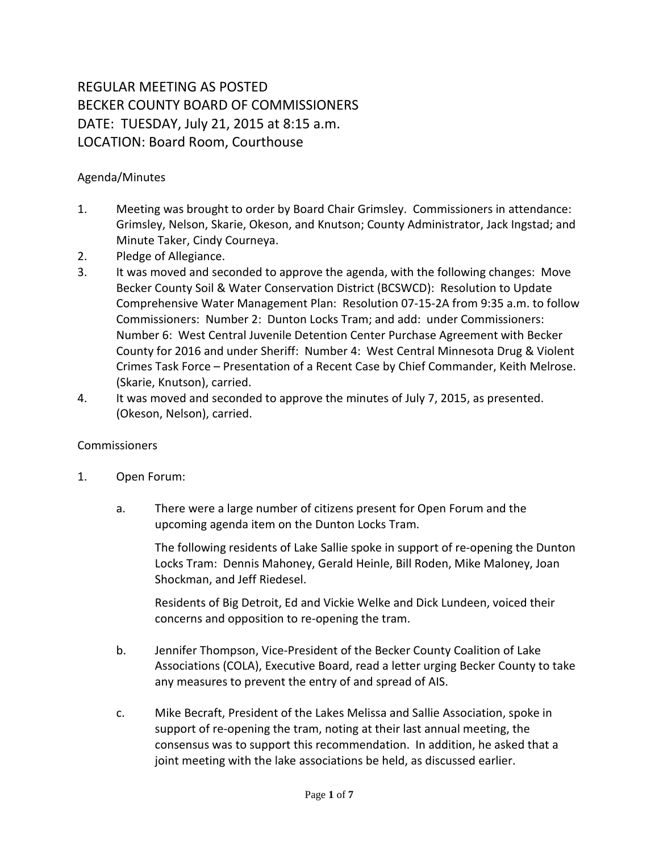## REGULAR MEETING AS POSTED BECKER COUNTY BOARD OF COMMISSIONERS DATE: TUESDAY, July 21, 2015 at 8:15 a.m. LOCATION: Board Room, Courthouse

## Agenda/Minutes

- 1. Meeting was brought to order by Board Chair Grimsley. Commissioners in attendance: Grimsley, Nelson, Skarie, Okeson, and Knutson; County Administrator, Jack Ingstad; and Minute Taker, Cindy Courneya.
- 2. Pledge of Allegiance.
- 3. It was moved and seconded to approve the agenda, with the following changes: Move Becker County Soil & Water Conservation District (BCSWCD): Resolution to Update Comprehensive Water Management Plan: Resolution 07-15-2A from 9:35 a.m. to follow Commissioners: Number 2: Dunton Locks Tram; and add: under Commissioners: Number 6: West Central Juvenile Detention Center Purchase Agreement with Becker County for 2016 and under Sheriff: Number 4: West Central Minnesota Drug & Violent Crimes Task Force – Presentation of a Recent Case by Chief Commander, Keith Melrose. (Skarie, Knutson), carried.
- 4. It was moved and seconded to approve the minutes of July 7, 2015, as presented. (Okeson, Nelson), carried.

## Commissioners

- 1. Open Forum:
	- a. There were a large number of citizens present for Open Forum and the upcoming agenda item on the Dunton Locks Tram.

The following residents of Lake Sallie spoke in support of re-opening the Dunton Locks Tram: Dennis Mahoney, Gerald Heinle, Bill Roden, Mike Maloney, Joan Shockman, and Jeff Riedesel.

Residents of Big Detroit, Ed and Vickie Welke and Dick Lundeen, voiced their concerns and opposition to re-opening the tram.

- b. Jennifer Thompson, Vice-President of the Becker County Coalition of Lake Associations (COLA), Executive Board, read a letter urging Becker County to take any measures to prevent the entry of and spread of AIS.
- c. Mike Becraft, President of the Lakes Melissa and Sallie Association, spoke in support of re-opening the tram, noting at their last annual meeting, the consensus was to support this recommendation. In addition, he asked that a joint meeting with the lake associations be held, as discussed earlier.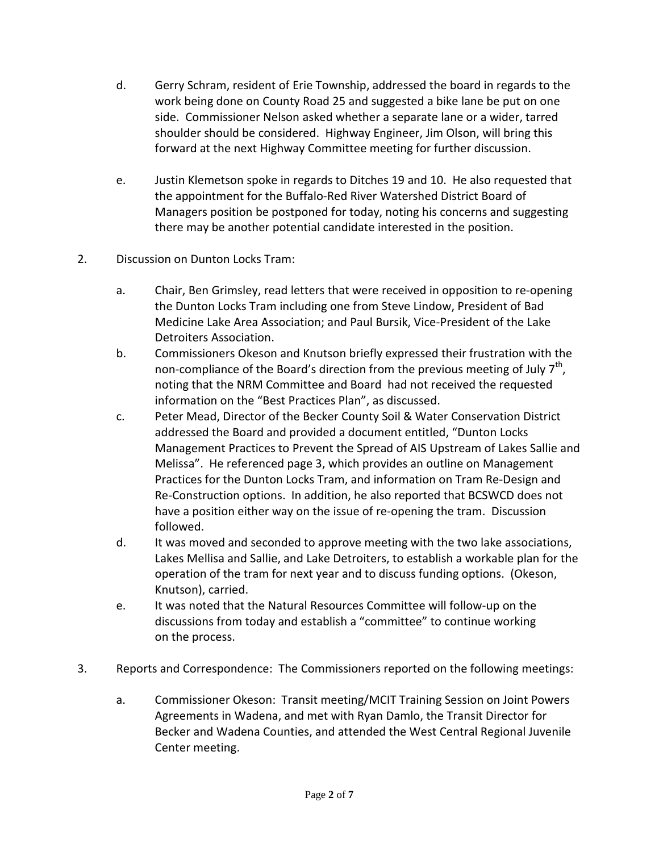- d. Gerry Schram, resident of Erie Township, addressed the board in regards to the work being done on County Road 25 and suggested a bike lane be put on one side. Commissioner Nelson asked whether a separate lane or a wider, tarred shoulder should be considered. Highway Engineer, Jim Olson, will bring this forward at the next Highway Committee meeting for further discussion.
- e. Justin Klemetson spoke in regards to Ditches 19 and 10. He also requested that the appointment for the Buffalo-Red River Watershed District Board of Managers position be postponed for today, noting his concerns and suggesting there may be another potential candidate interested in the position.
- 2. Discussion on Dunton Locks Tram:
	- a. Chair, Ben Grimsley, read letters that were received in opposition to re-opening the Dunton Locks Tram including one from Steve Lindow, President of Bad Medicine Lake Area Association; and Paul Bursik, Vice-President of the Lake Detroiters Association.
	- b. Commissioners Okeson and Knutson briefly expressed their frustration with the non-compliance of the Board's direction from the previous meeting of July  $7<sup>th</sup>$ , noting that the NRM Committee and Board had not received the requested information on the "Best Practices Plan", as discussed.
	- c. Peter Mead, Director of the Becker County Soil & Water Conservation District addressed the Board and provided a document entitled, "Dunton Locks Management Practices to Prevent the Spread of AIS Upstream of Lakes Sallie and Melissa". He referenced page 3, which provides an outline on Management Practices for the Dunton Locks Tram, and information on Tram Re-Design and Re-Construction options. In addition, he also reported that BCSWCD does not have a position either way on the issue of re-opening the tram. Discussion followed.
	- d. It was moved and seconded to approve meeting with the two lake associations, Lakes Mellisa and Sallie, and Lake Detroiters, to establish a workable plan for the operation of the tram for next year and to discuss funding options. (Okeson, Knutson), carried.
	- e. It was noted that the Natural Resources Committee will follow-up on the discussions from today and establish a "committee" to continue working on the process.
- 3. Reports and Correspondence: The Commissioners reported on the following meetings:
	- a. Commissioner Okeson: Transit meeting/MCIT Training Session on Joint Powers Agreements in Wadena, and met with Ryan Damlo, the Transit Director for Becker and Wadena Counties, and attended the West Central Regional Juvenile Center meeting.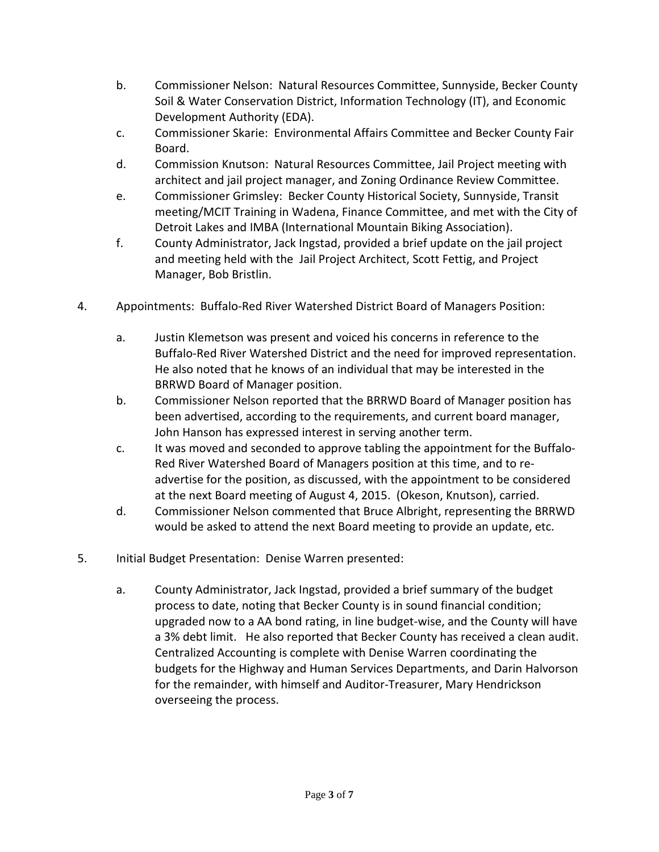- b. Commissioner Nelson: Natural Resources Committee, Sunnyside, Becker County Soil & Water Conservation District, Information Technology (IT), and Economic Development Authority (EDA).
- c. Commissioner Skarie: Environmental Affairs Committee and Becker County Fair Board.
- d. Commission Knutson: Natural Resources Committee, Jail Project meeting with architect and jail project manager, and Zoning Ordinance Review Committee.
- e. Commissioner Grimsley: Becker County Historical Society, Sunnyside, Transit meeting/MCIT Training in Wadena, Finance Committee, and met with the City of Detroit Lakes and IMBA (International Mountain Biking Association).
- f. County Administrator, Jack Ingstad, provided a brief update on the jail project and meeting held with the Jail Project Architect, Scott Fettig, and Project Manager, Bob Bristlin.
- 4. Appointments: Buffalo-Red River Watershed District Board of Managers Position:
	- a. Justin Klemetson was present and voiced his concerns in reference to the Buffalo-Red River Watershed District and the need for improved representation. He also noted that he knows of an individual that may be interested in the BRRWD Board of Manager position.
	- b. Commissioner Nelson reported that the BRRWD Board of Manager position has been advertised, according to the requirements, and current board manager, John Hanson has expressed interest in serving another term.
	- c. It was moved and seconded to approve tabling the appointment for the Buffalo-Red River Watershed Board of Managers position at this time, and to readvertise for the position, as discussed, with the appointment to be considered at the next Board meeting of August 4, 2015. (Okeson, Knutson), carried.
	- d. Commissioner Nelson commented that Bruce Albright, representing the BRRWD would be asked to attend the next Board meeting to provide an update, etc.
- 5. Initial Budget Presentation: Denise Warren presented:
	- a. County Administrator, Jack Ingstad, provided a brief summary of the budget process to date, noting that Becker County is in sound financial condition; upgraded now to a AA bond rating, in line budget-wise, and the County will have a 3% debt limit. He also reported that Becker County has received a clean audit. Centralized Accounting is complete with Denise Warren coordinating the budgets for the Highway and Human Services Departments, and Darin Halvorson for the remainder, with himself and Auditor-Treasurer, Mary Hendrickson overseeing the process.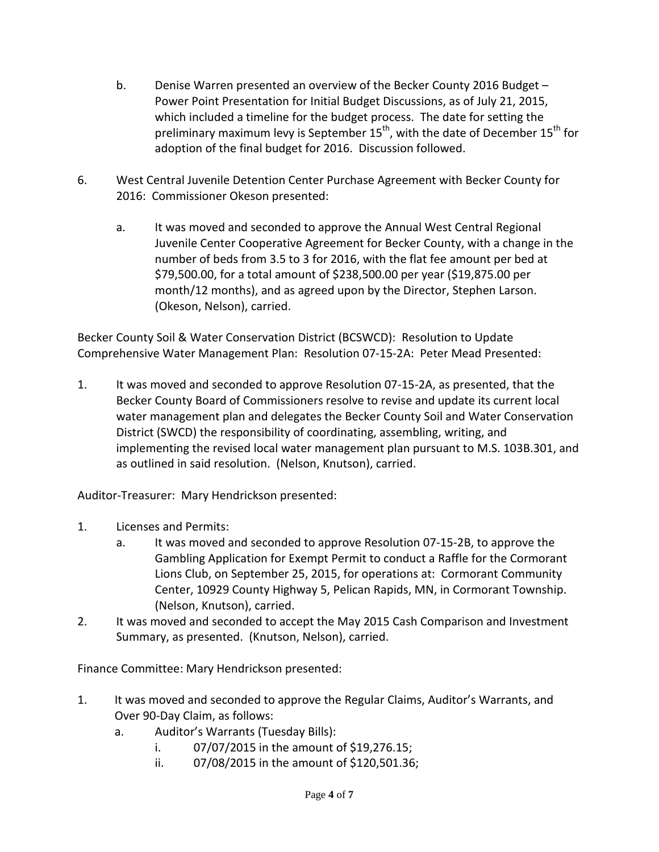- b. Denise Warren presented an overview of the Becker County 2016 Budget Power Point Presentation for Initial Budget Discussions, as of July 21, 2015, which included a timeline for the budget process. The date for setting the preliminary maximum levy is September 15<sup>th</sup>, with the date of December 15<sup>th</sup> for adoption of the final budget for 2016. Discussion followed.
- 6. West Central Juvenile Detention Center Purchase Agreement with Becker County for 2016: Commissioner Okeson presented:
	- a. It was moved and seconded to approve the Annual West Central Regional Juvenile Center Cooperative Agreement for Becker County, with a change in the number of beds from 3.5 to 3 for 2016, with the flat fee amount per bed at \$79,500.00, for a total amount of \$238,500.00 per year (\$19,875.00 per month/12 months), and as agreed upon by the Director, Stephen Larson. (Okeson, Nelson), carried.

Becker County Soil & Water Conservation District (BCSWCD): Resolution to Update Comprehensive Water Management Plan: Resolution 07-15-2A: Peter Mead Presented:

1. It was moved and seconded to approve Resolution 07-15-2A, as presented, that the Becker County Board of Commissioners resolve to revise and update its current local water management plan and delegates the Becker County Soil and Water Conservation District (SWCD) the responsibility of coordinating, assembling, writing, and implementing the revised local water management plan pursuant to M.S. 103B.301, and as outlined in said resolution. (Nelson, Knutson), carried.

Auditor-Treasurer: Mary Hendrickson presented:

- 1. Licenses and Permits:
	- a. It was moved and seconded to approve Resolution 07-15-2B, to approve the Gambling Application for Exempt Permit to conduct a Raffle for the Cormorant Lions Club, on September 25, 2015, for operations at: Cormorant Community Center, 10929 County Highway 5, Pelican Rapids, MN, in Cormorant Township. (Nelson, Knutson), carried.
- 2. It was moved and seconded to accept the May 2015 Cash Comparison and Investment Summary, as presented. (Knutson, Nelson), carried.

Finance Committee: Mary Hendrickson presented:

- 1. It was moved and seconded to approve the Regular Claims, Auditor's Warrants, and Over 90-Day Claim, as follows:
	- a. Auditor's Warrants (Tuesday Bills):
		- i. 07/07/2015 in the amount of \$19,276.15;
		- ii. 07/08/2015 in the amount of \$120,501.36;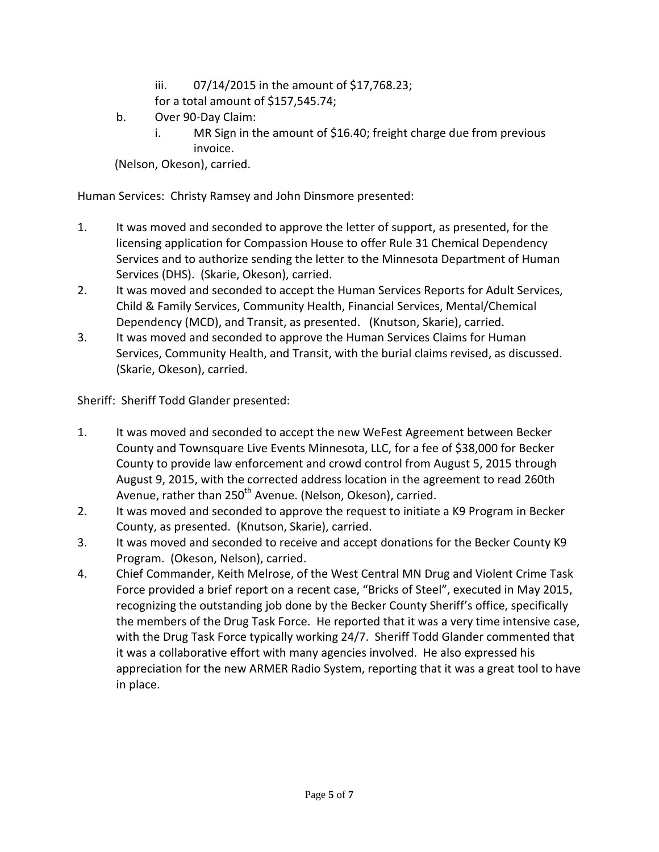- iii. 07/14/2015 in the amount of \$17,768.23;
- for a total amount of \$157,545.74;
- b. Over 90-Day Claim:
	- i. MR Sign in the amount of \$16.40; freight charge due from previous invoice.

(Nelson, Okeson), carried.

Human Services: Christy Ramsey and John Dinsmore presented:

- 1. It was moved and seconded to approve the letter of support, as presented, for the licensing application for Compassion House to offer Rule 31 Chemical Dependency Services and to authorize sending the letter to the Minnesota Department of Human Services (DHS). (Skarie, Okeson), carried.
- 2. It was moved and seconded to accept the Human Services Reports for Adult Services, Child & Family Services, Community Health, Financial Services, Mental/Chemical Dependency (MCD), and Transit, as presented. (Knutson, Skarie), carried.
- 3. It was moved and seconded to approve the Human Services Claims for Human Services, Community Health, and Transit, with the burial claims revised, as discussed. (Skarie, Okeson), carried.

Sheriff: Sheriff Todd Glander presented:

- 1. It was moved and seconded to accept the new WeFest Agreement between Becker County and Townsquare Live Events Minnesota, LLC, for a fee of \$38,000 for Becker County to provide law enforcement and crowd control from August 5, 2015 through August 9, 2015, with the corrected address location in the agreement to read 260th Avenue, rather than 250<sup>th</sup> Avenue. (Nelson, Okeson), carried.
- 2. It was moved and seconded to approve the request to initiate a K9 Program in Becker County, as presented. (Knutson, Skarie), carried.
- 3. It was moved and seconded to receive and accept donations for the Becker County K9 Program. (Okeson, Nelson), carried.
- 4. Chief Commander, Keith Melrose, of the West Central MN Drug and Violent Crime Task Force provided a brief report on a recent case, "Bricks of Steel", executed in May 2015, recognizing the outstanding job done by the Becker County Sheriff's office, specifically the members of the Drug Task Force. He reported that it was a very time intensive case, with the Drug Task Force typically working 24/7. Sheriff Todd Glander commented that it was a collaborative effort with many agencies involved. He also expressed his appreciation for the new ARMER Radio System, reporting that it was a great tool to have in place.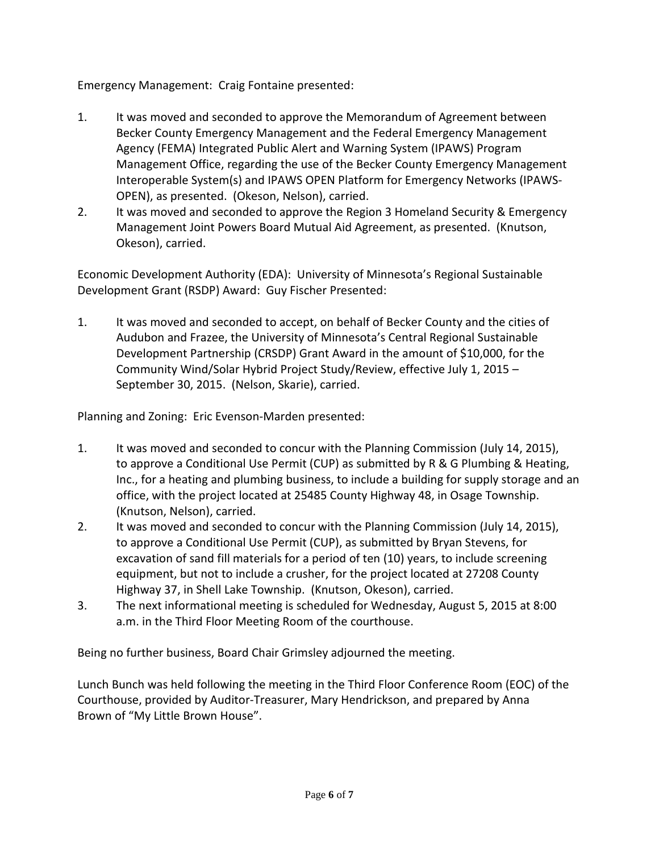Emergency Management: Craig Fontaine presented:

- 1. It was moved and seconded to approve the Memorandum of Agreement between Becker County Emergency Management and the Federal Emergency Management Agency (FEMA) Integrated Public Alert and Warning System (IPAWS) Program Management Office, regarding the use of the Becker County Emergency Management Interoperable System(s) and IPAWS OPEN Platform for Emergency Networks (IPAWS-OPEN), as presented. (Okeson, Nelson), carried.
- 2. It was moved and seconded to approve the Region 3 Homeland Security & Emergency Management Joint Powers Board Mutual Aid Agreement, as presented. (Knutson, Okeson), carried.

Economic Development Authority (EDA): University of Minnesota's Regional Sustainable Development Grant (RSDP) Award: Guy Fischer Presented:

1. It was moved and seconded to accept, on behalf of Becker County and the cities of Audubon and Frazee, the University of Minnesota's Central Regional Sustainable Development Partnership (CRSDP) Grant Award in the amount of \$10,000, for the Community Wind/Solar Hybrid Project Study/Review, effective July 1, 2015 – September 30, 2015. (Nelson, Skarie), carried.

Planning and Zoning: Eric Evenson-Marden presented:

- 1. It was moved and seconded to concur with the Planning Commission (July 14, 2015), to approve a Conditional Use Permit (CUP) as submitted by R & G Plumbing & Heating, Inc., for a heating and plumbing business, to include a building for supply storage and an office, with the project located at 25485 County Highway 48, in Osage Township. (Knutson, Nelson), carried.
- 2. It was moved and seconded to concur with the Planning Commission (July 14, 2015), to approve a Conditional Use Permit (CUP), as submitted by Bryan Stevens, for excavation of sand fill materials for a period of ten (10) years, to include screening equipment, but not to include a crusher, for the project located at 27208 County Highway 37, in Shell Lake Township. (Knutson, Okeson), carried.
- 3. The next informational meeting is scheduled for Wednesday, August 5, 2015 at 8:00 a.m. in the Third Floor Meeting Room of the courthouse.

Being no further business, Board Chair Grimsley adjourned the meeting.

Lunch Bunch was held following the meeting in the Third Floor Conference Room (EOC) of the Courthouse, provided by Auditor-Treasurer, Mary Hendrickson, and prepared by Anna Brown of "My Little Brown House".